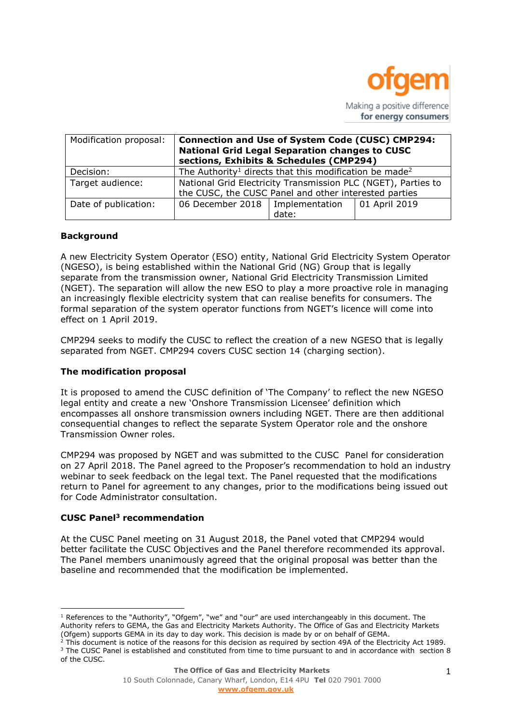

| Modification proposal: | <b>Connection and Use of System Code (CUSC) CMP294:</b><br><b>National Grid Legal Separation changes to CUSC</b><br>sections, Exhibits & Schedules (CMP294) |       |               |
|------------------------|-------------------------------------------------------------------------------------------------------------------------------------------------------------|-------|---------------|
| Decision:              | The Authority <sup>1</sup> directs that this modification be made <sup>2</sup>                                                                              |       |               |
| Target audience:       | National Grid Electricity Transmission PLC (NGET), Parties to<br>the CUSC, the CUSC Panel and other interested parties                                      |       |               |
| Date of publication:   | 06 December 2018   Implementation                                                                                                                           | date: | 01 April 2019 |

# **Background**

A new Electricity System Operator (ESO) entity, National Grid Electricity System Operator (NGESO), is being established within the National Grid (NG) Group that is legally separate from the transmission owner, National Grid Electricity Transmission Limited (NGET). The separation will allow the new ESO to play a more proactive role in managing an increasingly flexible electricity system that can realise benefits for consumers. The formal separation of the system operator functions from NGET's licence will come into effect on 1 April 2019.

CMP294 seeks to modify the CUSC to reflect the creation of a new NGESO that is legally separated from NGET. CMP294 covers CUSC section 14 (charging section).

#### **The modification proposal**

It is proposed to amend the CUSC definition of 'The Company' to reflect the new NGESO legal entity and create a new 'Onshore Transmission Licensee' definition which encompasses all onshore transmission owners including NGET. There are then additional consequential changes to reflect the separate System Operator role and the onshore Transmission Owner roles.

CMP294 was proposed by NGET and was submitted to the CUSC Panel for consideration on 27 April 2018. The Panel agreed to the Proposer's recommendation to hold an industry webinar to seek feedback on the legal text. The Panel requested that the modifications return to Panel for agreement to any changes, prior to the modifications being issued out for Code Administrator consultation.

# **CUSC Panel<sup>3</sup> recommendation**

 $\overline{a}$ 

At the CUSC Panel meeting on 31 August 2018, the Panel voted that CMP294 would better facilitate the CUSC Objectives and the Panel therefore recommended its approval. The Panel members unanimously agreed that the original proposal was better than the baseline and recommended that the modification be implemented.

 $1$  References to the "Authority", "Ofgem", "we" and "our" are used interchangeably in this document. The Authority refers to GEMA, the Gas and Electricity Markets Authority. The Office of Gas and Electricity Markets (Ofgem) supports GEMA in its day to day work. This decision is made by or on behalf of GEMA.

<sup>2</sup> This document is notice of the reasons for this decision as required by section 49A of the Electricity Act 1989. <sup>3</sup> The CUSC Panel is established and constituted from time to time pursuant to and in accordance with section 8 of the CUSC.